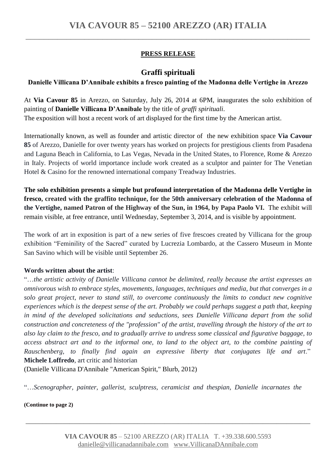## **PRESS RELEASE**

# **Graffi spirituali**

### **Danielle Villicana D'Annibale exhibits a fresco painting of the Madonna delle Vertighe in Arezzo**

At **Via Cavour 85** in Arezzo, on Saturday, July 26, 2014 at 6PM, inaugurates the solo exhibition of painting of **Danielle Villicana D'Annibale** by the title of *graffi spirituali*. The exposition will host a recent work of art displayed for the first time by the American artist.

Internationally known, as well as founder and artistic director of the new exhibition space **Via Cavour 85** of Arezzo, Danielle for over twenty years has worked on projects for prestigious clients from Pasadena and Laguna Beach in California, to Las Vegas, Nevada in the United States, to Florence, Rome & Arezzo in Italy. Projects of world importance include work created as a sculptor and painter for The Venetian Hotel & Casino for the renowned international company Treadway Industries.

**The solo exhibition presents a simple but profound interpretation of the Madonna delle Vertighe in fresco, created with the graffito technique, for the 50th anniversary celebration of the Madonna of the Vertighe, named Patron of the Highway of the Sun, in 1964, by Papa Paolo VI.** The exhibit will remain visible, at free entrance, until Wednesday, September 3, 2014, and is visible by appointment.

The work of art in exposition is part of a new series of five frescoes created by Villicana for the group exhibition "Feminility of the Sacred" curated by Lucrezia Lombardo, at the Cassero Museum in Monte San Savino which will be visible until September 26.

### **Words written about the artist**:

"…*the artistic activity of Danielle Villicana cannot be delimited, really because the artist expresses an omnivorous wish to embrace styles, movements, languages, techniques and media, but that converges in a solo great project, never to stand still, to overcome continuously the limits to conduct new cognitive experiences which is the deepest sense of the art. Probably we could perhaps suggest a path that, keeping in mind of the developed solicitations and seductions, sees Danielle Villicana depart from the solid construction and concreteness of the "profession" of the artist, travelling through the history of the art to also lay claim to the fresco, and to gradually arrive to undress some classical and figurative baggage, to access abstract art and to the informal one, to land to the object art, to the combine painting of Rauschenberg, to finally find again an expressive liberty that conjugates life and art*." **Michele Loffredo**, art critic and historian

(Danielle Villicana D'Annibale "American Spirit," Blurb, 2012)

"…*Scenographer, painter, gallerist, sculptress, ceramicist and thespian, Danielle incarnates the*

**(Continue to page 2)** 

**\_\_\_\_\_\_\_\_\_\_\_\_\_\_\_\_\_\_\_\_\_\_\_\_\_\_\_\_\_\_\_\_\_\_\_\_\_\_\_\_\_\_\_\_\_\_\_\_\_\_\_\_\_\_\_\_\_\_\_\_\_\_\_\_\_\_\_\_\_\_\_\_\_\_\_\_\_\_\_\_\_\_\_\_**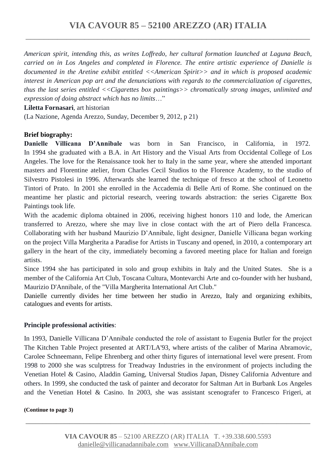*American spirit, intending this, as writes Loffredo, her cultural formation launched at Laguna Beach, carried on in Los Angeles and completed in Florence. The entire artistic experience of Danielle is documented in the Aretine exhibit entitled <<American Spirit>> and in which is proposed academic interest in American pop art and the denunciations with regards to the commercialization of cigarettes, thus the last series entitled <<Cigarettes box paintings>> chromatically strong images, unlimited and expression of doing abstract which has no limits*…"

#### **Liletta Fornasari**, art historian

(La Nazione, Agenda Arezzo, Sunday, December 9, 2012, p 21)

### **Brief biography:**

**Danielle Villicana D'Annibale** was born in San Francisco, in California, in 1972. In 1994 she graduated with a B.A. in Art History and the Visual Arts from Occidental College of Los Angeles. The love for the Renaissance took her to Italy in the same year, where she attended important masters and Florentine atelier, from Charles Cecil Studios to the Florence Academy, to the studio of Silvestro Pistolesi in 1996. Afterwards she learned the technique of fresco at the school of Leonetto Tintori of Prato. In 2001 she enrolled in the Accademia di Belle Arti of Rome. She continued on the meantime her plastic and pictorial research, veering towards abstraction: the series Cigarette Box Paintings took life.

With the academic diploma obtained in 2006, receiving highest honors 110 and lode, the American transferred to Arezzo, where she may live in close contact with the art of Piero della Francesca. Collaborating with her husband Maurizio D'Annibale, light designer, Danielle Villicana began working on the project Villa Margherita a Paradise for Artists in Tuscany and opened, in 2010, a contemporary art gallery in the heart of the city, immediately becoming a favored meeting place for Italian and foreign artists.

Since 1994 she has participated in solo and group exhibits in Italy and the United States. She is a member of the California Art Club, Toscana Cultura, Montevarchi Arte and co-founder with her husband, Maurizio D'Annibale, of the "Villa Margherita International Art Club."

Danielle currently divides her time between her studio in Arezzo, Italy and organizing exhibits, catalogues and events for artists.

#### **Principle professional activities**:

In 1993, Danielle Villicana D'Annibale conducted the role of assistant to Eugenia Butler for the project The Kitchen Table Project presented at ART/LA'93, where artists of the caliber of Marina Abramovic, Carolee Schneemann, Felipe Ehrenberg and other thirty figures of international level were present. From 1998 to 2000 she was sculptress for Treadway Industries in the environment of projects including the Venetian Hotel & Casino, Aladdin Gaming, Universal Studios Japan, Disney California Adventure and others. In 1999, she conducted the task of painter and decorator for Saltman Art in Burbank Los Angeles and the Venetian Hotel & Casino. In 2003, she was assistant scenografer to Francesco Frigeri, at

#### **(Continue to page 3)**

**\_\_\_\_\_\_\_\_\_\_\_\_\_\_\_\_\_\_\_\_\_\_\_\_\_\_\_\_\_\_\_\_\_\_\_\_\_\_\_\_\_\_\_\_\_\_\_\_\_\_\_\_\_\_\_\_\_\_\_\_\_\_\_\_\_\_\_\_\_\_\_\_\_\_\_\_\_\_\_\_\_\_\_\_**